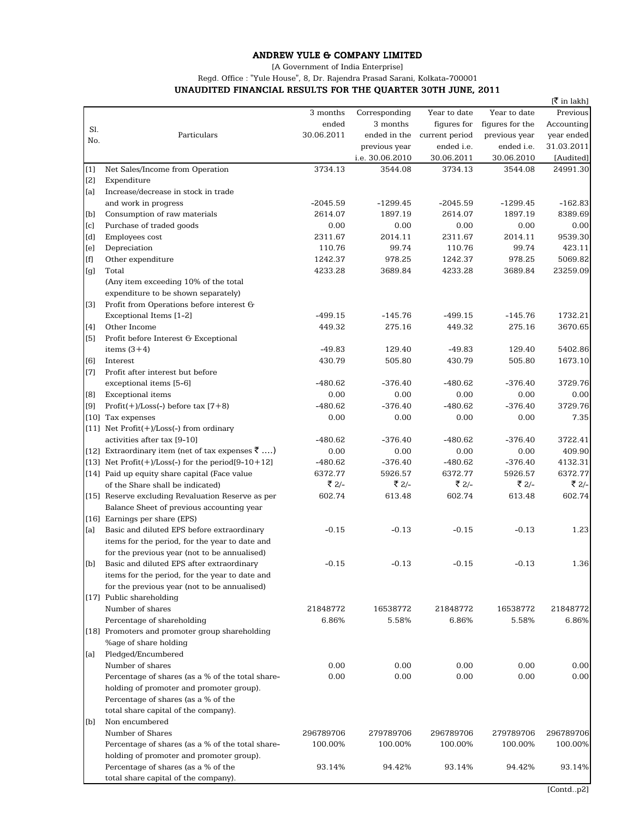## ANDREW YULE & COMPANY LIMITED

[A Government of India Enterprise]

Regd. Office : "Yule House", 8, Dr. Rajendra Prasad Sarani, Kolkata-700001

UNAUDITED FINANCIAL RESULTS FOR THE QUARTER 30TH JUNE, 2011

|       |                                                                                       |                      |                      |                      |                      | [₹ in lakh]        |
|-------|---------------------------------------------------------------------------------------|----------------------|----------------------|----------------------|----------------------|--------------------|
|       |                                                                                       | 3 months             | Corresponding        | Year to date         | Year to date         | Previous           |
| Sl.   |                                                                                       | ended                | 3 months             | figures for          | figures for the      | Accounting         |
| No.   | Particulars                                                                           | 30.06.2011           | ended in the         | current period       | previous year        | year ended         |
|       |                                                                                       |                      | previous year        | ended i.e.           | ended i.e.           | 31.03.2011         |
|       |                                                                                       |                      | i.e. 30.06.2010      | 30.06.2011           | 30.06.2010           | [Audited]          |
| [1]   | Net Sales/Income from Operation                                                       | 3734.13              | 3544.08              | 3734.13              | 3544.08              | 24991.30           |
| [2]   | Expenditure                                                                           |                      |                      |                      |                      |                    |
| [a]   | Increase/decrease in stock in trade                                                   |                      |                      |                      |                      |                    |
|       | and work in progress                                                                  | $-2045.59$           | $-1299.45$           | $-2045.59$           | $-1299.45$           | $-162.83$          |
| [b]   | Consumption of raw materials                                                          | 2614.07              | 1897.19              | 2614.07              | 1897.19              | 8389.69            |
| [c]   | Purchase of traded goods                                                              | 0.00                 | 0.00                 | 0.00                 | 0.00                 | 0.00               |
| [d]   | Employees cost                                                                        | 2311.67              | 2014.11              | 2311.67              | 2014.11              | 9539.30            |
| [e]   | Depreciation                                                                          | 110.76               | 99.74                | 110.76               | 99.74                | 423.11             |
| [f]   | Other expenditure                                                                     | 1242.37              | 978.25               | 1242.37              | 978.25               | 5069.82            |
| [g]   | Total                                                                                 | 4233.28              | 3689.84              | 4233.28              | 3689.84              | 23259.09           |
|       | (Any item exceeding 10% of the total                                                  |                      |                      |                      |                      |                    |
|       | expenditure to be shown separately)                                                   |                      |                      |                      |                      |                    |
| $[3]$ | Profit from Operations before interest G                                              |                      |                      |                      |                      |                    |
|       | Exceptional Items [1-2]                                                               | $-499.15$            | $-145.76$            | $-499.15$            | $-145.76$            | 1732.21            |
| [4]   | Other Income                                                                          | 449.32               | 275.16               | 449.32               | 275.16               | 3670.65            |
| [5]   | Profit before Interest G Exceptional                                                  |                      |                      |                      |                      |                    |
|       | items $(3+4)$                                                                         | $-49.83$             | 129.40               | $-49.83$             | 129.40               | 5402.86            |
| [6]   | Interest                                                                              | 430.79               | 505.80               | 430.79               | 505.80               | 1673.10            |
| $[7]$ | Profit after interest but before                                                      |                      |                      |                      |                      |                    |
|       | exceptional items [5-6]                                                               | $-480.62$            | $-376.40$            | $-480.62$            | $-376.40$            | 3729.76            |
| [8]   | <b>Exceptional</b> items                                                              | 0.00                 | 0.00                 | 0.00                 | 0.00                 | 0.00               |
| [9]   | Profit $(+)$ /Loss $(-)$ before tax $[7+8)$                                           | $-480.62$            | $-376.40$            | $-480.62$            | $-376.40$            | 3729.76            |
|       | [10] Tax expenses                                                                     | 0.00                 | 0.00                 | 0.00                 | 0.00                 | 7.35               |
|       | [11] Net $Profit(+) / Loss(-)$ from ordinary                                          |                      |                      |                      |                      |                    |
|       | activities after tax [9-10]                                                           | $-480.62$            | $-376.40$            | $-480.62$            | $-376.40$            | 3722.41            |
|       | [12] Extraordinary item (net of tax expenses $\bar{z}$ )                              | 0.00                 | 0.00                 | 0.00                 | 0.00                 | 409.90             |
|       | [13] Net $Profit(+)/Loss(-)$ for the period[9-10+12]                                  | $-480.62$<br>6372.77 | $-376.40$<br>5926.57 | $-480.62$<br>6372.77 | $-376.40$<br>5926.57 | 4132.31<br>6372.77 |
|       | [14] Paid up equity share capital (Face value                                         | ₹ 2/-                | ₹ 2/-                | ₹ 2/-                | ₹ 2/-                | ₹ 2/-              |
|       | of the Share shall be indicated)<br>[15] Reserve excluding Revaluation Reserve as per | 602.74               |                      | 602.74               |                      | 602.74             |
|       | Balance Sheet of previous accounting year                                             |                      | 613.48               |                      | 613.48               |                    |
|       | [16] Earnings per share (EPS)                                                         |                      |                      |                      |                      |                    |
| [a]   | Basic and diluted EPS before extraordinary                                            | $-0.15$              | $-0.13$              | $-0.15$              | $-0.13$              | 1.23               |
|       | items for the period, for the year to date and                                        |                      |                      |                      |                      |                    |
|       | for the previous year (not to be annualised)                                          |                      |                      |                      |                      |                    |
| [b]   | Basic and diluted EPS after extraordinary                                             | $-0.15$              | $-0.13$              | $-0.15$              | $-0.13$              | 1.36               |
|       | items for the period, for the year to date and                                        |                      |                      |                      |                      |                    |
|       | for the previous year (not to be annualised)                                          |                      |                      |                      |                      |                    |
|       | [17] Public shareholding                                                              |                      |                      |                      |                      |                    |
|       | Number of shares                                                                      | 21848772             | 16538772             | 21848772             | 16538772             | 21848772           |
|       | Percentage of shareholding                                                            | 6.86%                | 5.58%                | 6.86%                | 5.58%                | 6.86%              |
|       | [18] Promoters and promoter group shareholding                                        |                      |                      |                      |                      |                    |
|       | %age of share holding                                                                 |                      |                      |                      |                      |                    |
| [a]   | Pledged/Encumbered                                                                    |                      |                      |                      |                      |                    |
|       | Number of shares                                                                      | 0.00                 | 0.00                 | 0.00                 | 0.00                 | 0.00               |
|       | Percentage of shares (as a % of the total share-                                      | 0.00                 | 0.00                 | 0.00                 | 0.00                 | 0.00               |
|       | holding of promoter and promoter group).                                              |                      |                      |                      |                      |                    |
| [b]   | Percentage of shares (as a % of the                                                   |                      |                      |                      |                      |                    |
|       | total share capital of the company).                                                  |                      |                      |                      |                      |                    |
|       | Non encumbered                                                                        |                      |                      |                      |                      |                    |
|       | Number of Shares                                                                      | 296789706            | 279789706            | 296789706            | 279789706            | 296789706          |
|       | Percentage of shares (as a % of the total share-                                      | 100.00%              | 100.00%              | 100.00%              | 100.00%              | 100.00%            |
|       | holding of promoter and promoter group).                                              |                      |                      |                      |                      |                    |
|       | Percentage of shares (as a % of the                                                   | 93.14%               | 94.42%               | 93.14%               | 94.42%               | 93.14%             |
|       | total share capital of the company).                                                  |                      |                      |                      |                      |                    |
|       |                                                                                       |                      |                      |                      |                      |                    |